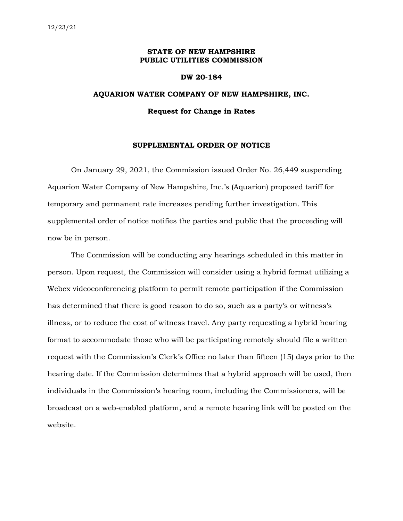# **STATE OF NEW HAMPSHIRE PUBLIC UTILITIES COMMISSION**

#### **DW 20-184**

# **AQUARION WATER COMPANY OF NEW HAMPSHIRE, INC. Request for Change in Rates**

### **SUPPLEMENTAL ORDER OF NOTICE**

On January 29, 2021, the Commission issued Order No. 26,449 suspending Aquarion Water Company of New Hampshire, Inc.'s (Aquarion) proposed tariff for temporary and permanent rate increases pending further investigation. This supplemental order of notice notifies the parties and public that the proceeding will now be in person.

The Commission will be conducting any hearings scheduled in this matter in person. Upon request, the Commission will consider using a hybrid format utilizing a Webex videoconferencing platform to permit remote participation if the Commission has determined that there is good reason to do so, such as a party's or witness's illness, or to reduce the cost of witness travel. Any party requesting a hybrid hearing format to accommodate those who will be participating remotely should file a written request with the Commission's Clerk's Office no later than fifteen (15) days prior to the hearing date. If the Commission determines that a hybrid approach will be used, then individuals in the Commission's hearing room, including the Commissioners, will be broadcast on a web-enabled platform, and a remote hearing link will be posted on the website.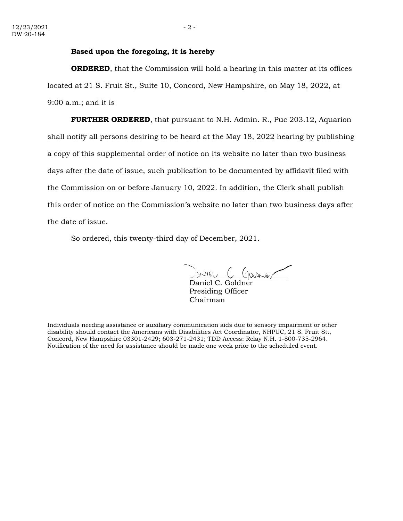# **Based upon the foregoing, it is hereby**

**ORDERED**, that the Commission will hold a hearing in this matter at its offices located at 21 S. Fruit St., Suite 10, Concord, New Hampshire, on May 18, 2022, at 9:00 a.m.; and it is

**FURTHER ORDERED**, that pursuant to N.H. Admin. R., Puc 203.12, Aquarion shall notify all persons desiring to be heard at the May 18, 2022 hearing by publishing a copy of this supplemental order of notice on its website no later than two business days after the date of issue, such publication to be documented by affidavit filed with the Commission on or before January 10, 2022. In addition, the Clerk shall publish this order of notice on the Commission's website no later than two business days after the date of issue.

So ordered, this twenty-third day of December, 2021.

\_\_\_\_\_\_\_\_\_\_\_\_\_\_\_\_\_\_\_\_\_\_\_\_\_

Daniel C. Goldner Presiding Officer Chairman

Individuals needing assistance or auxiliary communication aids due to sensory impairment or other disability should contact the Americans with Disabilities Act Coordinator, NHPUC, 21 S. Fruit St., Concord, New Hampshire 03301-2429; 603-271-2431; TDD Access: Relay N.H. 1-800-735-2964. Notification of the need for assistance should be made one week prior to the scheduled event.